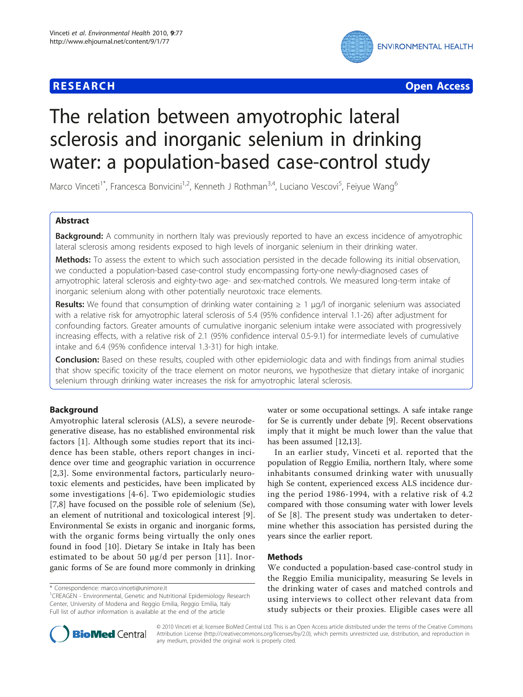



# The relation between amyotrophic lateral sclerosis and inorganic selenium in drinking water: a population-based case-control study

Marco Vinceti<sup>1\*</sup>, Francesca Bonvicini<sup>1,2</sup>, Kenneth J Rothman<sup>3,4</sup>, Luciano Vescovi<sup>5</sup>, Feiyue Wang<sup>6</sup>

# Abstract

Background: A community in northern Italy was previously reported to have an excess incidence of amyotrophic lateral sclerosis among residents exposed to high levels of inorganic selenium in their drinking water.

Methods: To assess the extent to which such association persisted in the decade following its initial observation, we conducted a population-based case-control study encompassing forty-one newly-diagnosed cases of amyotrophic lateral sclerosis and eighty-two age- and sex-matched controls. We measured long-term intake of inorganic selenium along with other potentially neurotoxic trace elements.

Results: We found that consumption of drinking water containing  $\geq 1$  µg/l of inorganic selenium was associated with a relative risk for amyotrophic lateral sclerosis of 5.4 (95% confidence interval 1.1-26) after adjustment for confounding factors. Greater amounts of cumulative inorganic selenium intake were associated with progressively increasing effects, with a relative risk of 2.1 (95% confidence interval 0.5-9.1) for intermediate levels of cumulative intake and 6.4 (95% confidence interval 1.3-31) for high intake.

**Conclusion:** Based on these results, coupled with other epidemiologic data and with findings from animal studies that show specific toxicity of the trace element on motor neurons, we hypothesize that dietary intake of inorganic selenium through drinking water increases the risk for amyotrophic lateral sclerosis.

# Background

Amyotrophic lateral sclerosis (ALS), a severe neurodegenerative disease, has no established environmental risk factors [[1](#page-6-0)]. Although some studies report that its incidence has been stable, others report changes in incidence over time and geographic variation in occurrence [[2](#page-6-0),[3\]](#page-6-0). Some environmental factors, particularly neurotoxic elements and pesticides, have been implicated by some investigations [[4-6\]](#page-6-0). Two epidemiologic studies [[7,8](#page-6-0)] have focused on the possible role of selenium (Se), an element of nutritional and toxicological interest [[9](#page-6-0)]. Environmental Se exists in organic and inorganic forms, with the organic forms being virtually the only ones found in food [[10\]](#page-6-0). Dietary Se intake in Italy has been estimated to be about 50 μg/d per person [\[11\]](#page-6-0). Inorganic forms of Se are found more commonly in drinking

water or some occupational settings. A safe intake range for Se is currently under debate [[9\]](#page-6-0). Recent observations imply that it might be much lower than the value that has been assumed [\[12,13\]](#page-6-0).

In an earlier study, Vinceti et al. reported that the population of Reggio Emilia, northern Italy, where some inhabitants consumed drinking water with unusually high Se content, experienced excess ALS incidence during the period 1986-1994, with a relative risk of 4.2 compared with those consuming water with lower levels of Se [\[8\]](#page-6-0). The present study was undertaken to determine whether this association has persisted during the years since the earlier report.

# Methods

We conducted a population-based case-control study in the Reggio Emilia municipality, measuring Se levels in the drinking water of cases and matched controls and using interviews to collect other relevant data from study subjects or their proxies. Eligible cases were all



© 2010 Vinceti et al; licensee BioMed Central Ltd. This is an Open Access article distributed under the terms of the Creative Commons Attribution License [\(http://creativecommons.org/licenses/by/2.0](http://creativecommons.org/licenses/by/2.0)), which permits unrestricted use, distribution, and reproduction in any medium, provided the original work is properly cited.

<sup>\*</sup> Correspondence: [marco.vinceti@unimore.it](mailto:marco.vinceti@unimore.it)

<sup>&</sup>lt;sup>1</sup>CREAGEN - Environmental, Genetic and Nutritional Epidemiology Research Center, University of Modena and Reggio Emilia, Reggio Emilia, Italy Full list of author information is available at the end of the article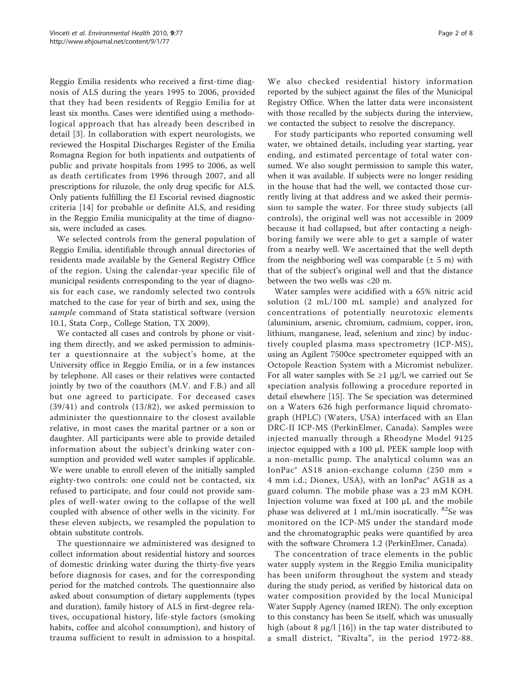Reggio Emilia residents who received a first-time diagnosis of ALS during the years 1995 to 2006, provided that they had been residents of Reggio Emilia for at least six months. Cases were identified using a methodological approach that has already been described in detail [\[3](#page-6-0)]. In collaboration with expert neurologists, we reviewed the Hospital Discharges Register of the Emilia Romagna Region for both inpatients and outpatients of public and private hospitals from 1995 to 2006, as well as death certificates from 1996 through 2007, and all prescriptions for riluzole, the only drug specific for ALS. Only patients fulfilling the El Escorial revised diagnostic criteria [[14\]](#page-6-0) for probable or definite ALS, and residing in the Reggio Emilia municipality at the time of diagnosis, were included as cases.

We selected controls from the general population of Reggio Emilia, identifiable through annual directories of residents made available by the General Registry Office of the region. Using the calendar-year specific file of municipal residents corresponding to the year of diagnosis for each case, we randomly selected two controls matched to the case for year of birth and sex, using the sample command of Stata statistical software (version 10.1, Stata Corp., College Station, TX 2009).

We contacted all cases and controls by phone or visiting them directly, and we asked permission to administer a questionnaire at the subject's home, at the University office in Reggio Emilia, or in a few instances by telephone. All cases or their relatives were contacted jointly by two of the coauthors (M.V. and F.B.) and all but one agreed to participate. For deceased cases (39/41) and controls (13/82), we asked permission to administer the questionnaire to the closest available relative, in most cases the marital partner or a son or daughter. All participants were able to provide detailed information about the subject's drinking water consumption and provided well water samples if applicable. We were unable to enroll eleven of the initially sampled eighty-two controls: one could not be contacted, six refused to participate, and four could not provide samples of well-water owing to the collapse of the well coupled with absence of other wells in the vicinity. For these eleven subjects, we resampled the population to obtain substitute controls.

The questionnaire we administered was designed to collect information about residential history and sources of domestic drinking water during the thirty-five years before diagnosis for cases, and for the corresponding period for the matched controls. The questionnaire also asked about consumption of dietary supplements (types and duration), family history of ALS in first-degree relatives, occupational history, life-style factors (smoking habits, coffee and alcohol consumption), and history of trauma sufficient to result in admission to a hospital.

We also checked residential history information reported by the subject against the files of the Municipal Registry Office. When the latter data were inconsistent with those recalled by the subjects during the interview, we contacted the subject to resolve the discrepancy.

For study participants who reported consuming well water, we obtained details, including year starting, year ending, and estimated percentage of total water consumed. We also sought permission to sample this water, when it was available. If subjects were no longer residing in the house that had the well, we contacted those currently living at that address and we asked their permission to sample the water. For three study subjects (all controls), the original well was not accessible in 2009 because it had collapsed, but after contacting a neighboring family we were able to get a sample of water from a nearby well. We ascertained that the well depth from the neighboring well was comparable  $(\pm 5 \text{ m})$  with that of the subject's original well and that the distance between the two wells was <20 m.

Water samples were acidified with a 65% nitric acid solution (2 mL/100 mL sample) and analyzed for concentrations of potentially neurotoxic elements (aluminium, arsenic, chromium, cadmium, copper, iron, lithium, manganese, lead, selenium and zinc) by inductively coupled plasma mass spectrometry (ICP-MS), using an Agilent 7500ce spectrometer equipped with an Octopole Reaction System with a Micromist nebulizer. For all water samples with Se  $\geq 1$  μg/l, we carried out Se speciation analysis following a procedure reported in detail elsewhere [\[15](#page-6-0)]. The Se speciation was determined on a Waters 626 high performance liquid chromatograph (HPLC) (Waters, USA) interfaced with an Elan DRC-II ICP-MS (PerkinElmer, Canada). Samples were injected manually through a Rheodyne Model 9125 injector equipped with a 100 μL PEEK sample loop with a non-metallic pump. The analytical column was an IonPac® AS18 anion-exchange column (250 mm × 4 mm i.d.; Dionex, USA), with an IonPac® AG18 as a guard column. The mobile phase was a 23 mM KOH. Injection volume was fixed at 100 μL and the mobile phase was delivered at 1 mL/min isocratically.  ${}^{82}$ Se was monitored on the ICP-MS under the standard mode and the chromatographic peaks were quantified by area with the software Chromera 1.2 (PerkinElmer, Canada).

The concentration of trace elements in the public water supply system in the Reggio Emilia municipality has been uniform throughout the system and steady during the study period, as verified by historical data on water composition provided by the local Municipal Water Supply Agency (named IREN). The only exception to this constancy has been Se itself, which was unusually high (about 8 μg/l [[16](#page-6-0)]) in the tap water distributed to a small district, "Rivalta", in the period 1972-88.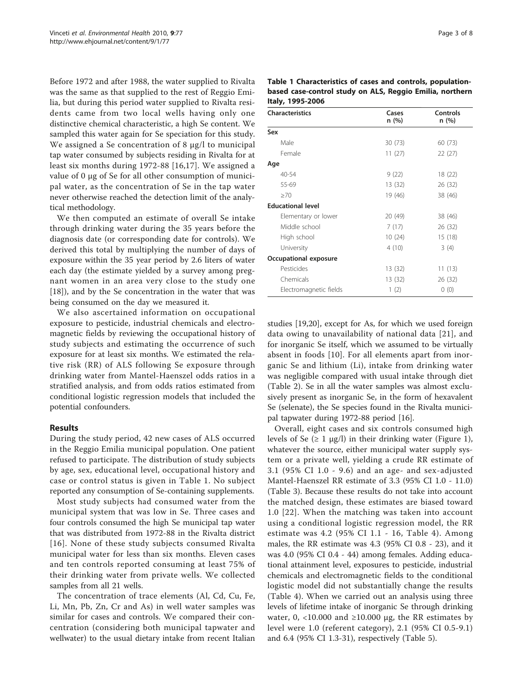Before 1972 and after 1988, the water supplied to Rivalta was the same as that supplied to the rest of Reggio Emilia, but during this period water supplied to Rivalta residents came from two local wells having only one distinctive chemical characteristic, a high Se content. We sampled this water again for Se speciation for this study. We assigned a Se concentration of 8 μg/l to municipal tap water consumed by subjects residing in Rivalta for at least six months during 1972-88 [[16](#page-6-0),[17\]](#page-6-0). We assigned a value of 0 μg of Se for all other consumption of municipal water, as the concentration of Se in the tap water never otherwise reached the detection limit of the analytical methodology.

We then computed an estimate of overall Se intake through drinking water during the 35 years before the diagnosis date (or corresponding date for controls). We derived this total by multiplying the number of days of exposure within the 35 year period by 2.6 liters of water each day (the estimate yielded by a survey among pregnant women in an area very close to the study one [[18\]](#page-6-0)), and by the Se concentration in the water that was being consumed on the day we measured it.

We also ascertained information on occupational exposure to pesticide, industrial chemicals and electromagnetic fields by reviewing the occupational history of study subjects and estimating the occurrence of such exposure for at least six months. We estimated the relative risk (RR) of ALS following Se exposure through drinking water from Mantel-Haenszel odds ratios in a stratified analysis, and from odds ratios estimated from conditional logistic regression models that included the potential confounders.

# Results

During the study period, 42 new cases of ALS occurred in the Reggio Emilia municipal population. One patient refused to participate. The distribution of study subjects by age, sex, educational level, occupational history and case or control status is given in Table 1. No subject reported any consumption of Se-containing supplements.

Most study subjects had consumed water from the municipal system that was low in Se. Three cases and four controls consumed the high Se municipal tap water that was distributed from 1972-88 in the Rivalta district [[16\]](#page-6-0). None of these study subjects consumed Rivalta municipal water for less than six months. Eleven cases and ten controls reported consuming at least 75% of their drinking water from private wells. We collected samples from all 21 wells.

The concentration of trace elements (Al, Cd, Cu, Fe, Li, Mn, Pb, Zn, Cr and As) in well water samples was similar for cases and controls. We compared their concentration (considering both municipal tapwater and wellwater) to the usual dietary intake from recent Italian

| ILAIY, 1 <i>773-</i> 2000 |               |                   |
|---------------------------|---------------|-------------------|
| <b>Characteristics</b>    | Cases<br>n(%) | Controls<br>n (%) |
| Sex                       |               |                   |
| Male                      | 30(73)        | 60(73)            |
| Female                    | 11(27)        | 22 (27)           |
| Age                       |               |                   |
| $40 - 54$                 | 9(22)         | 18(22)            |
| 55-69                     | 13 (32)       | 26 (32)           |
| >70                       | 19 (46)       | 38 (46)           |
| <b>Educational level</b>  |               |                   |
| Elementary or lower       | 20 (49)       | 38 (46)           |
| Middle school             | 7(17)         | 26 (32)           |
| High school               | 10(24)        | 15(18)            |
| University                | 4(10)         | 3(4)              |
| Occupational exposure     |               |                   |
| Pesticides                | 13 (32)       | 11 (13)           |
| Chemicals                 | 13 (32)       | 26 (32)           |
| Flectromagnetic fields    | 1(2)          | (0)(0)            |

Table 1 Characteristics of cases and controls, populationbased case-control study on ALS, Reggio Emilia, northern Italy, 1995-2006

studies [\[19,20](#page-6-0)], except for As, for which we used foreign data owing to unavailability of national data [[21\]](#page-6-0), and for inorganic Se itself, which we assumed to be virtually absent in foods [[10](#page-6-0)]. For all elements apart from inorganic Se and lithium (Li), intake from drinking water was negligible compared with usual intake through diet (Table [2](#page-3-0)). Se in all the water samples was almost exclusively present as inorganic Se, in the form of hexavalent Se (selenate), the Se species found in the Rivalta municipal tapwater during 1972-88 period [[16\]](#page-6-0).

Overall, eight cases and six controls consumed high levels of Se  $(≥ 1 \mu g/l)$  $(≥ 1 \mu g/l)$  $(≥ 1 \mu g/l)$  in their drinking water (Figure 1), whatever the source, either municipal water supply system or a private well, yielding a crude RR estimate of 3.1 (95% CI 1.0 - 9.6) and an age- and sex-adjusted Mantel-Haenszel RR estimate of 3.3 (95% CI 1.0 - 11.0) (Table [3\)](#page-4-0). Because these results do not take into account the matched design, these estimates are biased toward 1.0 [[22](#page-6-0)]. When the matching was taken into account using a conditional logistic regression model, the RR estimate was 4.2 (95% CI 1.1 - 16, Table [4\)](#page-4-0). Among males, the RR estimate was 4.3 (95% CI 0.8 - 23), and it was 4.0 (95% CI 0.4 - 44) among females. Adding educational attainment level, exposures to pesticide, industrial chemicals and electromagnetic fields to the conditional logistic model did not substantially change the results (Table [4\)](#page-4-0). When we carried out an analysis using three levels of lifetime intake of inorganic Se through drinking water, 0, <10.000 and  $\geq$ 10.000 µg, the RR estimates by level were 1.0 (referent category), 2.1 (95% CI 0.5-9.1) and 6.4 (95% CI 1.3-31), respectively (Table [5\)](#page-4-0).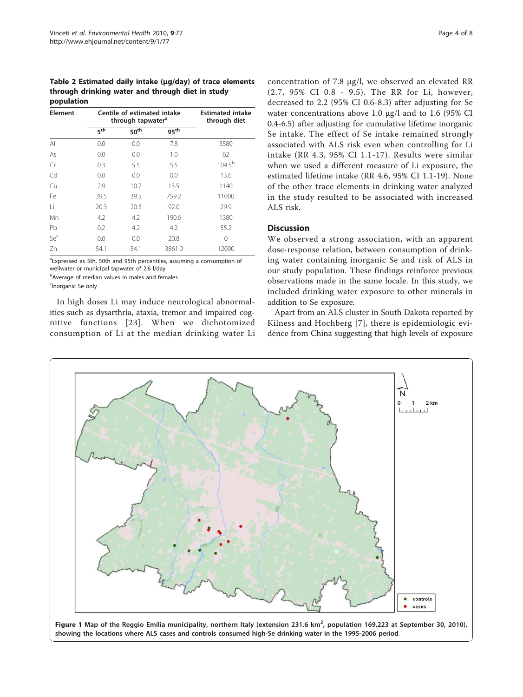<span id="page-3-0"></span>Table 2 Estimated daily intake (μg/day) of trace elements through drinking water and through diet in study population

| <b>Element</b>  |                 | Centile of estimated intake<br>through tapwater <sup>a</sup> | <b>Estimated intake</b><br>through diet |             |
|-----------------|-----------------|--------------------------------------------------------------|-----------------------------------------|-------------|
|                 | 5 <sup>th</sup> | $50^{\text{th}}$                                             | 95 <sup>th</sup>                        |             |
| Al              | 0.0             | 0.0                                                          | 7.8                                     | 3580        |
| As              | 0.0             | 0.0                                                          | 1.0                                     | 62          |
| Cr              | 0.3             | 5.5                                                          | 5.5                                     | $104.5^{b}$ |
| Cd              | 0.0             | 0.0                                                          | 0.0                                     | 13.6        |
| Cu              | 2.9             | 10.7                                                         | 13.5                                    | 1140        |
| Fe              | 39.5            | 39.5                                                         | 759.2                                   | 11000       |
| Τi              | 20.3            | 20.3                                                         | 92.0                                    | 29.9        |
| Mn              | 4.2             | 4.2                                                          | 190.6                                   | 1380        |
| Pb              | 0.2             | 4.2                                                          | 4.2                                     | 55.2        |
| Se <sup>c</sup> | 0.0             | 0.0                                                          | 20.8                                    | 0           |
| Zn              | 54.1            | 54.1                                                         | 3861.0                                  | 12000       |

<sup>a</sup> Expressed as 5th, 50th and 95th percentiles, assuming a consumption of wellwater or municipal tapwater of 2.6 l/day

<sup>b</sup>Average of median values in males and females

<sup>c</sup>Inorganic Se only

In high doses Li may induce neurological abnormalities such as dysarthria, ataxia, tremor and impaired cognitive functions [[23](#page-6-0)]. When we dichotomized consumption of Li at the median drinking water Li concentration of 7.8 μg/l, we observed an elevated RR (2.7, 95% CI 0.8 - 9.5). The RR for Li, however, decreased to 2.2 (95% CI 0.6-8.3) after adjusting for Se water concentrations above 1.0 μg/l and to 1.6 (95% CI 0.4-6.5) after adjusting for cumulative lifetime inorganic Se intake. The effect of Se intake remained strongly associated with ALS risk even when controlling for Li intake (RR 4.3, 95% CI 1.1-17). Results were similar when we used a different measure of Li exposure, the estimated lifetime intake (RR 4.6, 95% CI 1.1-19). None of the other trace elements in drinking water analyzed in the study resulted to be associated with increased ALS risk.

# **Discussion**

We observed a strong association, with an apparent dose-response relation, between consumption of drinking water containing inorganic Se and risk of ALS in our study population. These findings reinforce previous observations made in the same locale. In this study, we included drinking water exposure to other minerals in addition to Se exposure.

Apart from an ALS cluster in South Dakota reported by Kilness and Hochberg [[7](#page-6-0)], there is epidemiologic evidence from China suggesting that high levels of exposure



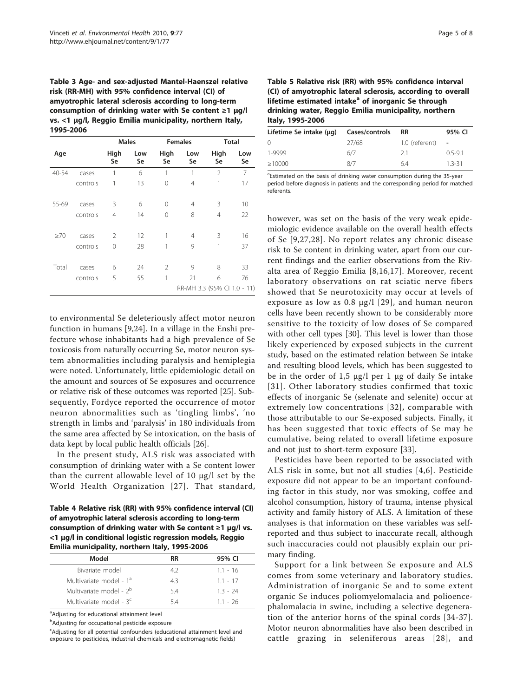<span id="page-4-0"></span>

| Table 3 Age- and sex-adjusted Mantel-Haenszel relative      |
|-------------------------------------------------------------|
| risk (RR-MH) with 95% confidence interval (CI) of           |
| amyotrophic lateral sclerosis according to long-term        |
| consumption of drinking water with Se content $\geq 1$ µg/l |
| ys. <1 µg/l, Reggio Emilia municipality, northern Italy,    |
| 1995-2006                                                   |

|           |          |               | <b>Males</b><br><b>Females</b> |            |                             |                | <b>Total</b> |
|-----------|----------|---------------|--------------------------------|------------|-----------------------------|----------------|--------------|
| Age       |          | High<br>Se    | Low<br>Se                      | High<br>Se | Low<br>Se                   | High<br>Se     | Low<br>Se    |
| 40-54     | cases    | 1             | 6                              | 1          | 1                           | $\overline{2}$ | 7            |
|           | controls | 1             | 13                             | 0          | 4                           | 1              | 17           |
| 55-69     | cases    | 3             | 6                              | 0          | $\overline{4}$              | 3              | 10           |
|           | controls | 4             | 14                             | $\Omega$   | 8                           | $\overline{4}$ | 22           |
| $\geq 70$ | cases    | $\mathcal{P}$ | 12                             | 1          | 4                           | 3              | 16           |
|           | controls | $\Omega$      | 28                             | 1          | 9                           | 1              | 37           |
| Total     | cases    | 6             | 24                             | 2          | 9                           | 8              | 33           |
|           | controls | 5             | 55                             | 1          | 21                          | 6              | 76           |
|           |          |               |                                |            | RR-MH 3.3 (95% CI 1.0 - 11) |                |              |

to environmental Se deleteriously affect motor neuron function in humans [\[9](#page-6-0),[24\]](#page-6-0). In a village in the Enshi prefecture whose inhabitants had a high prevalence of Se toxicosis from naturally occurring Se, motor neuron system abnormalities including paralysis and hemiplegia were noted. Unfortunately, little epidemiologic detail on the amount and sources of Se exposures and occurrence or relative risk of these outcomes was reported [[25](#page-6-0)]. Subsequently, Fordyce reported the occurrence of motor neuron abnormalities such as 'tingling limbs', 'no strength in limbs and 'paralysis' in 180 individuals from the same area affected by Se intoxication, on the basis of data kept by local public health officials [[26\]](#page-6-0).

In the present study, ALS risk was associated with consumption of drinking water with a Se content lower than the current allowable level of 10 μg/l set by the World Health Organization [[27\]](#page-6-0). That standard,

Table 4 Relative risk (RR) with 95% confidence interval (CI) of amyotrophic lateral sclerosis according to long-term consumption of drinking water with Se content ≥1 μg/l vs. <1 μg/l in conditional logistic regression models, Reggio Emilia municipality, northern Italy, 1995-2006

| Model                               | <b>RR</b> | 95% CI     |
|-------------------------------------|-----------|------------|
| Bivariate model                     | 42        | $1.1 - 16$ |
| Multivariate model - 1 <sup>ª</sup> | 43        | $11 - 17$  |
| Multivariate model - 2 <sup>b</sup> | 5.4       | $13 - 24$  |
| Multivariate model - 3 <sup>c</sup> | 54        | $11 - 26$  |

<sup>a</sup>Adjusting for educational attainment level

<sup>b</sup>Adjusting for occupational pesticide exposure

<sup>c</sup>Adjusting for all potential confounders (educational attainment level and exposure to pesticides, industrial chemicals and electromagnetic fields)

| Table 5 Relative risk (RR) with 95% confidence interval        |
|----------------------------------------------------------------|
| (CI) of amyotrophic lateral sclerosis, according to overall    |
| lifetime estimated intake <sup>a</sup> of inorganic Se through |
| drinking water, Reggio Emilia municipality, northern           |
| Italy, 1995-2006                                               |

| 95% CI      |
|-------------|
|             |
|             |
| $0.5 - 9.1$ |
| $13-31$     |
|             |

<sup>a</sup>Estimated on the basis of drinking water consumption during the 35-year period before diagnosis in patients and the corresponding period for matched referents.

however, was set on the basis of the very weak epidemiologic evidence available on the overall health effects of Se [[9,27,28\]](#page-6-0). No report relates any chronic disease risk to Se content in drinking water, apart from our current findings and the earlier observations from the Rivalta area of Reggio Emilia [[8](#page-6-0),[16,17\]](#page-6-0). Moreover, recent laboratory observations on rat sciatic nerve fibers showed that Se neurotoxicity may occur at levels of exposure as low as 0.8 μg/l [[29](#page-6-0)], and human neuron cells have been recently shown to be considerably more sensitive to the toxicity of low doses of Se compared with other cell types [[30](#page-6-0)]. This level is lower than those likely experienced by exposed subjects in the current study, based on the estimated relation between Se intake and resulting blood levels, which has been suggested to be in the order of 1,5 μg/l per 1 μg of daily Se intake [[31](#page-6-0)]. Other laboratory studies confirmed that toxic effects of inorganic Se (selenate and selenite) occur at extremely low concentrations [[32\]](#page-6-0), comparable with those attributable to our Se-exposed subjects. Finally, it has been suggested that toxic effects of Se may be cumulative, being related to overall lifetime exposure and not just to short-term exposure [\[33\]](#page-6-0).

Pesticides have been reported to be associated with ALS risk in some, but not all studies [[4](#page-6-0),[6](#page-6-0)]. Pesticide exposure did not appear to be an important confounding factor in this study, nor was smoking, coffee and alcohol consumption, history of trauma, intense physical activity and family history of ALS. A limitation of these analyses is that information on these variables was selfreported and thus subject to inaccurate recall, although such inaccuracies could not plausibly explain our primary finding.

Support for a link between Se exposure and ALS comes from some veterinary and laboratory studies. Administration of inorganic Se and to some extent organic Se induces poliomyelomalacia and polioencephalomalacia in swine, including a selective degeneration of the anterior horns of the spinal cords [[34-37](#page-6-0)]. Motor neuron abnormalities have also been described in cattle grazing in seleniferous areas [[28](#page-6-0)], and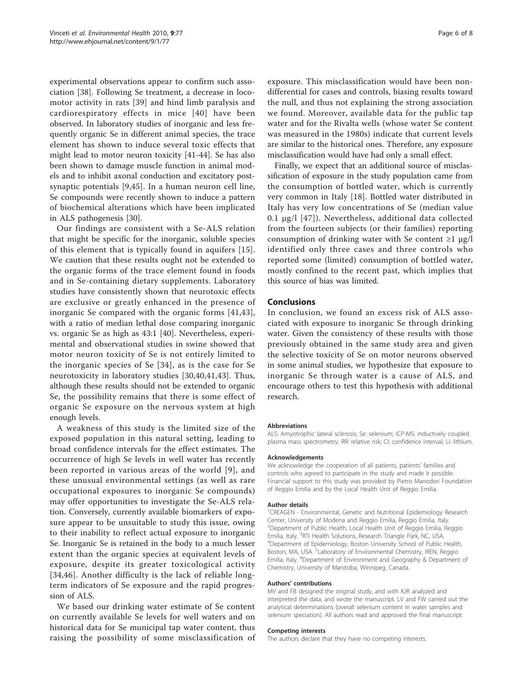experimental observations appear to confirm such association [\[38](#page-6-0)]. Following Se treatment, a decrease in locomotor activity in rats [\[39\]](#page-6-0) and hind limb paralysis and cardiorespiratory effects in mice [[40](#page-6-0)] have been observed. In laboratory studies of inorganic and less frequently organic Se in different animal species, the trace element has shown to induce several toxic effects that might lead to motor neuron toxicity [\[41](#page-6-0)-[44\]](#page-6-0). Se has also been shown to damage muscle function in animal models and to inhibit axonal conduction and excitatory postsynaptic potentials [\[9](#page-6-0),[45\]](#page-6-0). In a human neuron cell line, Se compounds were recently shown to induce a pattern of biochemical alterations which have been implicated in ALS pathogenesis [[30\]](#page-6-0).

Our findings are consistent with a Se-ALS relation that might be specific for the inorganic, soluble species of this element that is typically found in aquifers [[15](#page-6-0)]. We caution that these results ought not be extended to the organic forms of the trace element found in foods and in Se-containing dietary supplements. Laboratory studies have consistently shown that neurotoxic effects are exclusive or greatly enhanced in the presence of inorganic Se compared with the organic forms [[41,43](#page-6-0)], with a ratio of median lethal dose comparing inorganic vs. organic Se as high as 43:1 [\[40](#page-6-0)]. Nevertheless, experimental and observational studies in swine showed that motor neuron toxicity of Se is not entirely limited to the inorganic species of Se [\[34\]](#page-6-0), as is the case for Se neurotoxicity in laboratory studies [\[30,40,41](#page-6-0),[43\]](#page-6-0). Thus, although these results should not be extended to organic Se, the possibility remains that there is some effect of organic Se exposure on the nervous system at high enough levels.

A weakness of this study is the limited size of the exposed population in this natural setting, leading to broad confidence intervals for the effect estimates. The occurrence of high Se levels in well water has recently been reported in various areas of the world [[9\]](#page-6-0), and these unusual environmental settings (as well as rare occupational exposures to inorganic Se compounds) may offer opportunities to investigate the Se-ALS relation. Conversely, currently available biomarkers of exposure appear to be unsuitable to study this issue, owing to their inability to reflect actual exposure to inorganic Se. Inorganic Se is retained in the body to a much lesser extent than the organic species at equivalent levels of exposure, despite its greater toxicological activity [[34](#page-6-0),[46](#page-7-0)]. Another difficulty is the lack of reliable longterm indicators of Se exposure and the rapid progression of ALS.

We based our drinking water estimate of Se content on currently available Se levels for well waters and on historical data for Se municipal tap water content, thus raising the possibility of some misclassification of exposure. This misclassification would have been nondifferential for cases and controls, biasing results toward the null, and thus not explaining the strong association we found. Moreover, available data for the public tap water and for the Rivalta wells (whose water Se content was measured in the 1980s) indicate that current levels are similar to the historical ones. Therefore, any exposure misclassification would have had only a small effect.

Finally, we expect that an additional source of misclassification of exposure in the study population came from the consumption of bottled water, which is currently very common in Italy [[18\]](#page-6-0). Bottled water distributed in Italy has very low concentrations of Se (median value 0.1 μg/l [[47](#page-7-0)]). Nevertheless, additional data collected from the fourteen subjects (or their families) reporting consumption of drinking water with Se content  $\geq 1$  μg/l identified only three cases and three controls who reported some (limited) consumption of bottled water, mostly confined to the recent past, which implies that this source of bias was limited.

# Conclusions

In conclusion, we found an excess risk of ALS associated with exposure to inorganic Se through drinking water. Given the consistency of these results with those previously obtained in the same study area and given the selective toxicity of Se on motor neurons observed in some animal studies, we hypothesize that exposure to inorganic Se through water is a cause of ALS, and encourage others to test this hypothesis with additional research.

#### Abbreviations

ALS: Amyotrophic lateral sclerosis; Se: selenium; ICP-MS: inductively coupled plasma mass spectrometry; RR: relative risk; CI: confidence interval; Li: lithium.

#### Acknowledgements

We acknowledge the cooperation of all patients, patients' families and controls who agreed to participate in the study and made it possible. Financial support to this study was provided by Pietro Manodori Foundation of Reggio Emilia and by the Local Health Unit of Reggio Emilia.

#### Author details

<sup>1</sup>CREAGEN - Environmental, Genetic and Nutritional Epidemiology Research Center, University of Modena and Reggio Emilia, Reggio Emilia, Italy. <sup>2</sup>Department of Public Health, Local Health Unit of Reggio Emilia, Reggio Emilia, Italy. <sup>3</sup>RTI Health Solutions, Research Triangle Park, NC, USA.<br><sup>4</sup>Department of Epidemiology, Boston University School of Public <sup>4</sup>Department of Epidemiology, Boston University School of Public Health, Boston, MA, USA. <sup>5</sup>Laboratory of Environmental Chemistry, IREN, Reggio Emilia, Italy. <sup>6</sup>Department of Environment and Geography & Department of Chemistry, University of Manitoba, Winnipeg, Canada.

#### Authors' contributions

MV and FB designed the original study, and with KJR analyzed and interpreted the data, and wrote the manuscript. LV and FW carried out the analytical determinations (overall selenium content in water samples and selenium speciation). All authors read and approved the final manuscript.

#### Competing interests

The authors declare that they have no competing interests.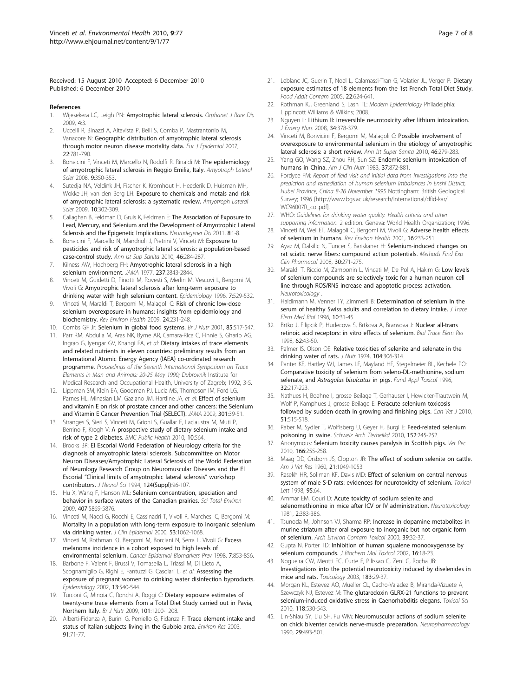<span id="page-6-0"></span>Received: 15 August 2010 Accepted: 6 December 2010 Published: 6 December 2010

### References

- 1. Wijesekera LC, Leigh PN: [Amyotrophic lateral sclerosis.](http://www.ncbi.nlm.nih.gov/pubmed/19192301?dopt=Abstract) Orphanet J Rare Dis 2009, 4:3.
- 2. Uccelli R, Binazzi A, Altavista P, Belli S, Comba P, Mastrantonio M, Vanacore N: [Geographic distribution of amyotrophic lateral sclerosis](http://www.ncbi.nlm.nih.gov/pubmed/17874192?dopt=Abstract) [through motor neuron disease mortality data.](http://www.ncbi.nlm.nih.gov/pubmed/17874192?dopt=Abstract) Eur J Epidemiol 2007, 22:781-790.
- Bonvicini F, Vinceti M, Marcello N, Rodolfi R, Rinaldi M: [The epidemiology](http://www.ncbi.nlm.nih.gov/pubmed/18615339?dopt=Abstract) [of amyotrophic lateral sclerosis in Reggio Emilia, Italy.](http://www.ncbi.nlm.nih.gov/pubmed/18615339?dopt=Abstract) Amyotroph Lateral Scler 2008, 9:350-353.
- 4. Sutedja NA, Veldink JH, Fischer K, Kromhout H, Heederik D, Huisman MH, Wokke JH, van den Berg LH: [Exposure to chemicals and metals and risk](http://www.ncbi.nlm.nih.gov/pubmed/19922117?dopt=Abstract) [of amyotrophic lateral sclerosis: a systematic review.](http://www.ncbi.nlm.nih.gov/pubmed/19922117?dopt=Abstract) Amyotroph Lateral Scler 2009, 10:302-309.
- Callaghan B, Feldman D, Gruis K, Feldman E: [The Association of Exposure to](http://www.ncbi.nlm.nih.gov/pubmed/20689252?dopt=Abstract) [Lead, Mercury, and Selenium and the Development of Amyotrophic Lateral](http://www.ncbi.nlm.nih.gov/pubmed/20689252?dopt=Abstract) [Sclerosis and the Epigenetic Implications.](http://www.ncbi.nlm.nih.gov/pubmed/20689252?dopt=Abstract) Neurodegener Dis 2011, 8:1-8.
- 6. Bonvicini F, Marcello N, Mandrioli J, Pietrini V, Vinceti M: Exposure to pesticides and risk of amyotrophic lateral sclerosis: a population-based case-control study. Ann Ist Sup Sanita 2010, 46:284-287.
- Kilness AW, Hochberg FH: [Amyotrophic lateral sclerosis in a high](http://www.ncbi.nlm.nih.gov/pubmed/577250?dopt=Abstract) [selenium environment.](http://www.ncbi.nlm.nih.gov/pubmed/577250?dopt=Abstract) JAMA 1977, 237:2843-2844.
- 8. Vinceti M, Guidetti D, Pinotti M, Rovesti S, Merlin M, Vescovi L, Bergomi M, Vivoli G: [Amyotrophic lateral sclerosis after long-term exposure to](http://www.ncbi.nlm.nih.gov/pubmed/8862986?dopt=Abstract) [drinking water with high selenium content.](http://www.ncbi.nlm.nih.gov/pubmed/8862986?dopt=Abstract) Epidemiology 1996, 7:529-532.
- 9. Vinceti M, Maraldi T, Bergomi M, Malagoli C: [Risk of chronic low-dose](http://www.ncbi.nlm.nih.gov/pubmed/19891121?dopt=Abstract) [selenium overexposure in humans: insights from epidemiology and](http://www.ncbi.nlm.nih.gov/pubmed/19891121?dopt=Abstract) [biochemistry.](http://www.ncbi.nlm.nih.gov/pubmed/19891121?dopt=Abstract) Rev Environ Health 2009, 24:231-248.
- 10. Combs GF Jr: [Selenium in global food systems.](http://www.ncbi.nlm.nih.gov/pubmed/11348568?dopt=Abstract) Br J Nutr 2001, 85:517-547.
- 11. Parr RM, Abdulla M, Aras NK, Byrne AR, Camara-Rica C, Finnie S, Gharib AG, Ingrao G, Iyengar GV, Khangi FA, et al: Dietary intakes of trace elements and related nutrients in eleven countries: preliminary results from an International Atomic Energy Agency (IAEA) co-ordinated research programme. Proceedings of the Seventh International Symposium on Trace Elements in Man and Animals: 20-25 May 1990; Dubrovnik Institute for Medical Research and Occupational Health, University of Zagreb; 1992, 3-5.
- 12. Lippman SM, Klein EA, Goodman PJ, Lucia MS, Thompson IM, Ford LG, Parnes HL, Minasian LM, Gaziano JM, Hartline JA, et al: [Effect of selenium](http://www.ncbi.nlm.nih.gov/pubmed/19066370?dopt=Abstract) [and vitamin E on risk of prostate cancer and other cancers: the Selenium](http://www.ncbi.nlm.nih.gov/pubmed/19066370?dopt=Abstract) [and Vitamin E Cancer Prevention Trial \(SELECT\).](http://www.ncbi.nlm.nih.gov/pubmed/19066370?dopt=Abstract) JAMA 2009, 301:39-51.
- 13. Stranges S, Sieri S, Vinceti M, Grioni S, Guallar E, Laclaustra M, Muti P, Berrino F, Krogh V: [A prospective study of dietary selenium intake and](http://www.ncbi.nlm.nih.gov/pubmed/20858268?dopt=Abstract) [risk of type 2 diabetes.](http://www.ncbi.nlm.nih.gov/pubmed/20858268?dopt=Abstract) BMC Public Health 2010, 10:564.
- 14. Brooks BR: [El Escorial World Federation of Neurology criteria for the](http://www.ncbi.nlm.nih.gov/pubmed/7807156?dopt=Abstract) [diagnosis of amyotrophic lateral sclerosis. Subcommittee on Motor](http://www.ncbi.nlm.nih.gov/pubmed/7807156?dopt=Abstract) [Neuron Diseases/Amyotrophic Lateral Sclerosis of the World Federation](http://www.ncbi.nlm.nih.gov/pubmed/7807156?dopt=Abstract) [of Neurology Research Group on Neuromuscular Diseases and the El](http://www.ncbi.nlm.nih.gov/pubmed/7807156?dopt=Abstract) Escorial "[Clinical limits of amyotrophic lateral sclerosis](http://www.ncbi.nlm.nih.gov/pubmed/7807156?dopt=Abstract)" workshop [contributors.](http://www.ncbi.nlm.nih.gov/pubmed/7807156?dopt=Abstract) J Neurol Sci 1994, 124(Suppl):96-107.
- 15. Hu X, Wang F, Hanson ML: [Selenium concentration, speciation and](http://www.ncbi.nlm.nih.gov/pubmed/19732939?dopt=Abstract) [behavior in surface waters of the Canadian prairies.](http://www.ncbi.nlm.nih.gov/pubmed/19732939?dopt=Abstract) Sci Total Environ 2009, 407:5869-5876.
- 16. Vinceti M, Nacci G, Rocchi E, Cassinadri T, Vivoli R, Marchesi C, Bergomi M: [Mortality in a population with long-term exposure to inorganic selenium](http://www.ncbi.nlm.nih.gov/pubmed/11027940?dopt=Abstract) [via drinking water.](http://www.ncbi.nlm.nih.gov/pubmed/11027940?dopt=Abstract) J Clin Epidemiol 2000, 53:1062-1068.
- 17. Vinceti M, Rothman KJ, Bergomi M, Borciani N, Serra L, Vivoli G: [Excess](http://www.ncbi.nlm.nih.gov/pubmed/9796628?dopt=Abstract) [melanoma incidence in a cohort exposed to high levels of](http://www.ncbi.nlm.nih.gov/pubmed/9796628?dopt=Abstract) [environmental selenium.](http://www.ncbi.nlm.nih.gov/pubmed/9796628?dopt=Abstract) Cancer Epidemiol Biomarkers Prev 1998, 7:853-856.
- 18. Barbone F, Valent F, Brussi V, Tomasella L, Triassi M, Di Lieto A, Scognamiglio G, Righi E, Fantuzzi G, Casolari L, et al: [Assessing the](http://www.ncbi.nlm.nih.gov/pubmed/12192223?dopt=Abstract) [exposure of pregnant women to drinking water disinfection byproducts.](http://www.ncbi.nlm.nih.gov/pubmed/12192223?dopt=Abstract)
- Epidemiology 2002, 13:540-544. 19. Turconi G, Minoia C, Ronchi A, Roggi C: [Dietary exposure estimates of](http://www.ncbi.nlm.nih.gov/pubmed/19007448?dopt=Abstract) [twenty-one trace elements from a Total Diet Study carried out in Pavia,](http://www.ncbi.nlm.nih.gov/pubmed/19007448?dopt=Abstract) [Northern Italy.](http://www.ncbi.nlm.nih.gov/pubmed/19007448?dopt=Abstract) Br J Nutr 2009, 101:1200-1208.
- 20. Alberti-Fidanza A, Burini G, Perriello G, Fidanza F: [Trace element intake and](http://www.ncbi.nlm.nih.gov/pubmed/12584007?dopt=Abstract) [status of Italian subjects living in the Gubbio area.](http://www.ncbi.nlm.nih.gov/pubmed/12584007?dopt=Abstract) Environ Res 2003, 91:71-77.
- 21. Leblanc JC, Guerin T, Noel L, Calamassi-Tran G, Volatier JL, Verger P: [Dietary](http://www.ncbi.nlm.nih.gov/pubmed/16019838?dopt=Abstract) [exposure estimates of 18 elements from the 1st French Total Diet Study.](http://www.ncbi.nlm.nih.gov/pubmed/16019838?dopt=Abstract) Food Addit Contam 2005, 22:624-641.
- 22. Rothman KJ, Greenland S, Lash TL: Modern Epidemiology Philadelphia: Lippincott Williams & Wilkins; 2008.
- 23. Nguyen L: [Lithium II: irreversible neurotoxicity after lithium intoxication.](http://www.ncbi.nlm.nih.gov/pubmed/18640430?dopt=Abstract) J Emerg Nurs 2008, 34:378-379.
- 24. Vinceti M, Bonvicini F, Bergomi M, Malagoli C: [Possible involvement of](http://www.ncbi.nlm.nih.gov/pubmed/20847461?dopt=Abstract) [overexposure to environmental selenium in the etiology of amyotrophic](http://www.ncbi.nlm.nih.gov/pubmed/20847461?dopt=Abstract) [lateral sclerosis: a short review.](http://www.ncbi.nlm.nih.gov/pubmed/20847461?dopt=Abstract) Ann Ist Super Sanita 2010, 46:279-283.
- 25. Yang GQ, Wang SZ, Zhou RH, Sun SZ: [Endemic selenium intoxication of](http://www.ncbi.nlm.nih.gov/pubmed/6846228?dopt=Abstract) [humans in China.](http://www.ncbi.nlm.nih.gov/pubmed/6846228?dopt=Abstract) Am J Clin Nutr 1983, 37:872-881.
- 26. Fordyce FM: Report of field visit and initial data from investigations into the prediction and remediation of human selenium imbalances in Enshi District, Hubei Province, China 8-26 November 1995 Nottingham: British Geological Survey; 1996 [[http://www.bgs.ac.uk/research/international/dfid-kar/](http://www.bgs.ac.uk/research/international/dfid-kar/WC96007R_col.pdf) [WC96007R\\_col.pdf\]](http://www.bgs.ac.uk/research/international/dfid-kar/WC96007R_col.pdf).
- 27. WHO: Guidelines for drinking water quality. Health criteria and other supporting information. 2 edition. Geneva: World Health Organization; 1996.
- 28. Vinceti M, Wei ET, Malagoli C, Bergomi M, Vivoli G: [Adverse health effects](http://www.ncbi.nlm.nih.gov/pubmed/12041880?dopt=Abstract) [of selenium in humans.](http://www.ncbi.nlm.nih.gov/pubmed/12041880?dopt=Abstract) Rev Environ Health 2001, 16:233-251.
- 29. Ayaz M, Dalkilic N, Tuncer S, Bariskaner H: [Selenium-induced changes on](http://www.ncbi.nlm.nih.gov/pubmed/18773121?dopt=Abstract) [rat sciatic nerve fibers: compound action potentials.](http://www.ncbi.nlm.nih.gov/pubmed/18773121?dopt=Abstract) Methods Find Exp Clin Pharmacol 2008, 30:271-275.
- 30. Maraldi T, Riccio M, Zambonin L, Vinceti M, De Pol A, Hakim G; Low levels of selenium compounds are selectively toxic for a human neuron cell line through ROS/RNS increase and apoptotic process activation. **Neurotoxicology**
- 31. Haldimann M, Venner TY, Zimmerli B: [Determination of selenium in the](http://www.ncbi.nlm.nih.gov/pubmed/8793821?dopt=Abstract) [serum of healthy Swiss adults and correlation to dietary intake.](http://www.ncbi.nlm.nih.gov/pubmed/8793821?dopt=Abstract) J Trace Elem Med Biol 1996, 10:31-45.
- Brtko J, Filipcik P, Hudecova S, Brtkova A, Bransova J: [Nuclear all-trans](http://www.ncbi.nlm.nih.gov/pubmed/9630423?dopt=Abstract) [retinoic acid receptors: in vitro effects of selenium.](http://www.ncbi.nlm.nih.gov/pubmed/9630423?dopt=Abstract) Biol Trace Elem Res 1998, 62:43-50.
- 33. Palmer IS, Olson OE: [Relative toxicities of selenite and selenate in the](http://www.ncbi.nlm.nih.gov/pubmed/4811980?dopt=Abstract) [drinking water of rats.](http://www.ncbi.nlm.nih.gov/pubmed/4811980?dopt=Abstract) J Nutr 1974, 104:306-314.
- 34. Panter KE, Hartley WJ, James LF, Mayland HF, Stegelmeier BL, Kechele PO: Comparative toxicity of selenium from seleno-DL-methionine, sodium selenate, and Astragalus bisulcatus in pigs. Fund Appl Toxicol 1996, 32:217-223.
- 35. Nathues H, Boehne I, grosse Beilage T, Gerhauser I, Hewicker-Trautwein M, Wolf P, Kamphues J, grosse Beilage E: [Peracute selenium toxicosis](http://www.ncbi.nlm.nih.gov/pubmed/20676295?dopt=Abstract) [followed by sudden death in growing and finishing pigs.](http://www.ncbi.nlm.nih.gov/pubmed/20676295?dopt=Abstract) Can Vet J 2010, 51:515-518.
- 36. Raber M, Sydler T, Wolfisberg U, Geyer H, Burgi E: [Feed-related selenium](http://www.ncbi.nlm.nih.gov/pubmed/20464684?dopt=Abstract) [poisoning in swine.](http://www.ncbi.nlm.nih.gov/pubmed/20464684?dopt=Abstract) Schweiz Arch Tierheilkd 2010, 152:245-252.
- 37. Anonymous: [Selenium toxicity causes paralysis in Scottish pigs.](http://www.ncbi.nlm.nih.gov/pubmed/20190214?dopt=Abstract) Vet Rec 2010, 166:255-258.
- 38. Maag DD, Orsborn JS, Clopton JR: [The effect of sodium selenite on cattle.](http://www.ncbi.nlm.nih.gov/pubmed/13764645?dopt=Abstract) Am J Vet Res 1960, 21:1049-1053.
- 39. Rasekh HR, Soliman KF, Davis MD: Effect of selenium on central nervous system of male S-D rats: evidences for neurotoxicity of selenium. Toxicol Lett 1998, 95:64
- 40. Ammar EM, Couri D: [Acute toxicity of sodium selenite and](http://www.ncbi.nlm.nih.gov/pubmed/7198759?dopt=Abstract) [selenomethionine in mice after ICV or IV administration.](http://www.ncbi.nlm.nih.gov/pubmed/7198759?dopt=Abstract) Neurotoxicology 1981, 2:383-386.
- 41. Tsunoda M, Johnson VJ, Sharma RP: [Increase in dopamine metabolites in](http://www.ncbi.nlm.nih.gov/pubmed/10790499?dopt=Abstract) [murine striatum after oral exposure to inorganic but not organic form](http://www.ncbi.nlm.nih.gov/pubmed/10790499?dopt=Abstract) [of selenium.](http://www.ncbi.nlm.nih.gov/pubmed/10790499?dopt=Abstract) Arch Environ Contam Toxicol 2000, 39:32-37.
- 42. Gupta N, Porter TD: [Inhibition of human squalene monooxygenase by](http://www.ncbi.nlm.nih.gov/pubmed/11857773?dopt=Abstract) [selenium compounds.](http://www.ncbi.nlm.nih.gov/pubmed/11857773?dopt=Abstract) J Biochem Mol Toxicol 2002, 16:18-23.
- 43. Nogueira CW, Meotti FC, Curte E, Pilissao C, Zeni G, Rocha JB: [Investigations into the potential neurotoxicity induced by diselenides in](http://www.ncbi.nlm.nih.gov/pubmed/12504340?dopt=Abstract) [mice and rats.](http://www.ncbi.nlm.nih.gov/pubmed/12504340?dopt=Abstract) Toxicology 2003, 183:29-37.
- 44. Morgan KL, Estevez AO, Mueller CL, Cacho-Valadez B, Miranda-Vizuete A, Szewczyk NJ, Estevez M: [The glutaredoxin GLRX-21 functions to prevent](http://www.ncbi.nlm.nih.gov/pubmed/20833709?dopt=Abstract) [selenium-induced oxidative stress in Caenorhabditis elegans.](http://www.ncbi.nlm.nih.gov/pubmed/20833709?dopt=Abstract) Toxicol Sci 2010, 118:530-543.
- 45. Lin-Shiau SY, Liu SH, Fu WM: [Neuromuscular actions of sodium selenite](http://www.ncbi.nlm.nih.gov/pubmed/1694019?dopt=Abstract) [on chick biventer cervicis nerve-muscle preparation.](http://www.ncbi.nlm.nih.gov/pubmed/1694019?dopt=Abstract) Neuropharmacology 1990, 29:493-501.